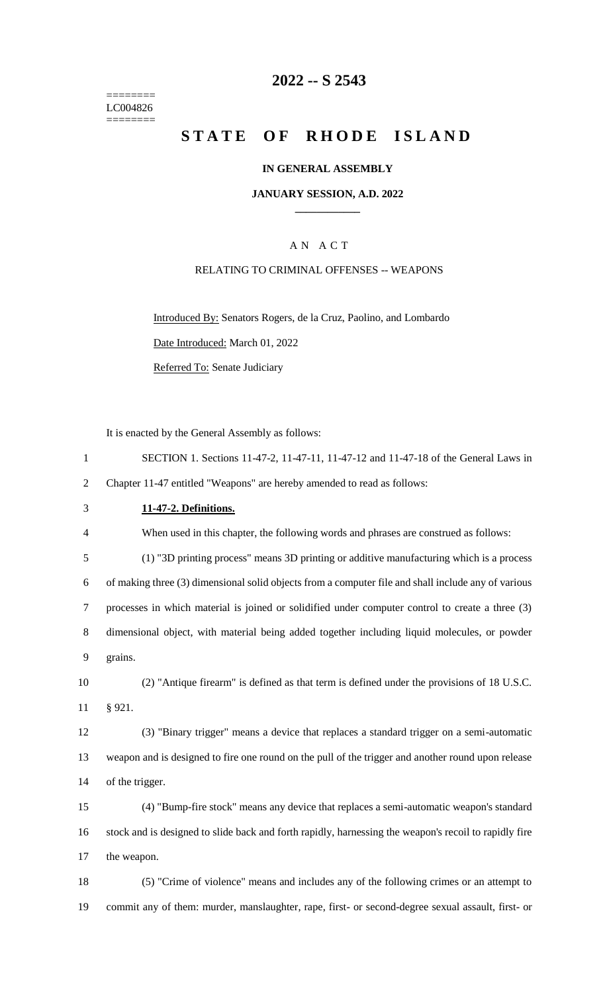======== LC004826  $=$ 

# **-- S 2543**

# **STATE OF RHODE ISLAND**

# **IN GENERAL ASSEMBLY**

### **JANUARY SESSION, A.D. 2022 \_\_\_\_\_\_\_\_\_\_\_\_**

# A N A C T

### RELATING TO CRIMINAL OFFENSES -- WEAPONS

Introduced By: Senators Rogers, de la Cruz, Paolino, and Lombardo Date Introduced: March 01, 2022 Referred To: Senate Judiciary

It is enacted by the General Assembly as follows:

| $\mathbf{1}$   | SECTION 1. Sections 11-47-2, 11-47-11, 11-47-12 and 11-47-18 of the General Laws in                   |
|----------------|-------------------------------------------------------------------------------------------------------|
| $\overline{2}$ | Chapter 11-47 entitled "Weapons" are hereby amended to read as follows:                               |
| 3              | 11-47-2. Definitions.                                                                                 |
| 4              | When used in this chapter, the following words and phrases are construed as follows:                  |
| 5              | (1) "3D printing process" means 3D printing or additive manufacturing which is a process              |
| 6              | of making three (3) dimensional solid objects from a computer file and shall include any of various   |
| $\tau$         | processes in which material is joined or solidified under computer control to create a three (3)      |
| $8\,$          | dimensional object, with material being added together including liquid molecules, or powder          |
| 9              | grains.                                                                                               |
| 10             | (2) "Antique firearm" is defined as that term is defined under the provisions of 18 U.S.C.            |
| 11             | § 921.                                                                                                |
| 12             | (3) "Binary trigger" means a device that replaces a standard trigger on a semi-automatic              |
| 13             | weapon and is designed to fire one round on the pull of the trigger and another round upon release    |
| 14             | of the trigger.                                                                                       |
| 15             | (4) "Bump-fire stock" means any device that replaces a semi-automatic weapon's standard               |
| 16             | stock and is designed to slide back and forth rapidly, harnessing the weapon's recoil to rapidly fire |
| 17             | the weapon.                                                                                           |
| 18             | (5) "Crime of violence" means and includes any of the following crimes or an attempt to               |
| 19             | commit any of them: murder, manslaughter, rape, first- or second-degree sexual assault, first- or     |
|                |                                                                                                       |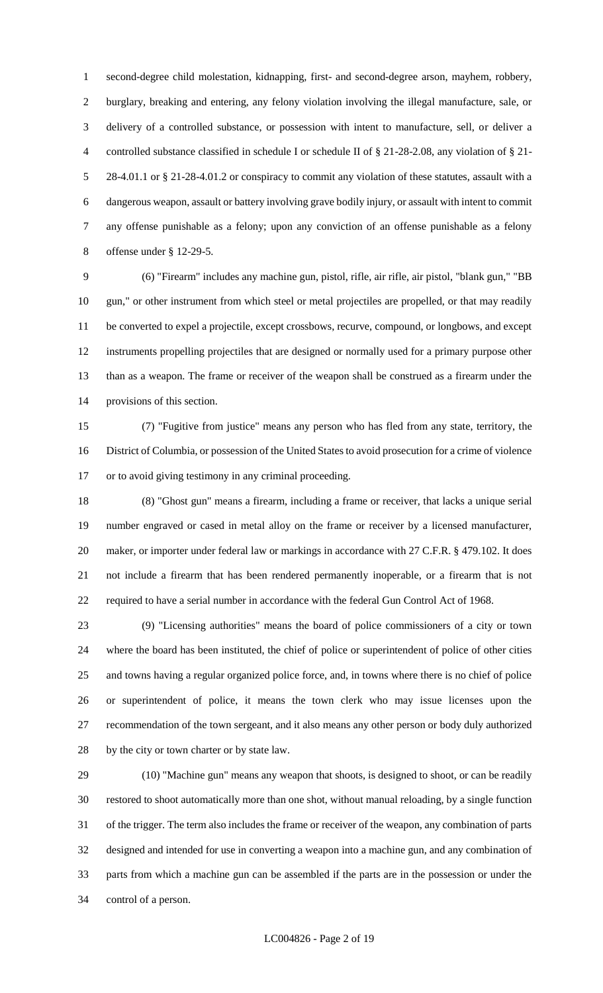second-degree child molestation, kidnapping, first- and second-degree arson, mayhem, robbery, burglary, breaking and entering, any felony violation involving the illegal manufacture, sale, or delivery of a controlled substance, or possession with intent to manufacture, sell, or deliver a controlled substance classified in schedule I or schedule II of § 21-28-2.08, any violation of § 21- 28-4.01.1 or § 21-28-4.01.2 or conspiracy to commit any violation of these statutes, assault with a dangerous weapon, assault or battery involving grave bodily injury, or assault with intent to commit any offense punishable as a felony; upon any conviction of an offense punishable as a felony offense under § 12-29-5.

 (6) "Firearm" includes any machine gun, pistol, rifle, air rifle, air pistol, "blank gun," "BB gun," or other instrument from which steel or metal projectiles are propelled, or that may readily be converted to expel a projectile, except crossbows, recurve, compound, or longbows, and except instruments propelling projectiles that are designed or normally used for a primary purpose other than as a weapon. The frame or receiver of the weapon shall be construed as a firearm under the provisions of this section.

 (7) "Fugitive from justice" means any person who has fled from any state, territory, the District of Columbia, or possession of the United States to avoid prosecution for a crime of violence or to avoid giving testimony in any criminal proceeding.

 (8) "Ghost gun" means a firearm, including a frame or receiver, that lacks a unique serial number engraved or cased in metal alloy on the frame or receiver by a licensed manufacturer, 20 maker, or importer under federal law or markings in accordance with 27 C.F.R. § 479.102. It does not include a firearm that has been rendered permanently inoperable, or a firearm that is not required to have a serial number in accordance with the federal Gun Control Act of 1968.

 (9) "Licensing authorities" means the board of police commissioners of a city or town where the board has been instituted, the chief of police or superintendent of police of other cities and towns having a regular organized police force, and, in towns where there is no chief of police or superintendent of police, it means the town clerk who may issue licenses upon the recommendation of the town sergeant, and it also means any other person or body duly authorized by the city or town charter or by state law.

 (10) "Machine gun" means any weapon that shoots, is designed to shoot, or can be readily restored to shoot automatically more than one shot, without manual reloading, by a single function of the trigger. The term also includes the frame or receiver of the weapon, any combination of parts designed and intended for use in converting a weapon into a machine gun, and any combination of parts from which a machine gun can be assembled if the parts are in the possession or under the control of a person.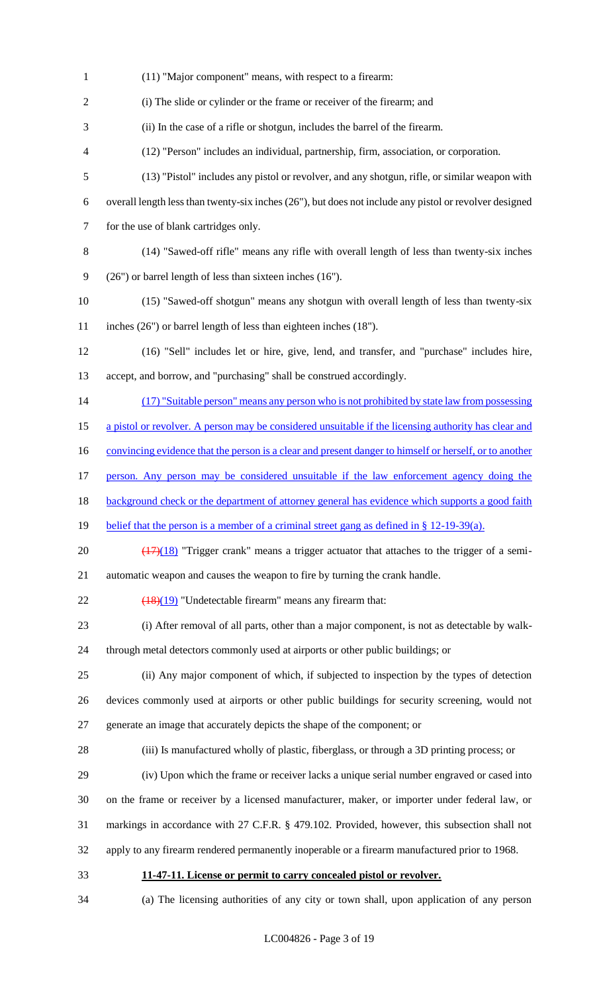(11) "Major component" means, with respect to a firearm: (i) The slide or cylinder or the frame or receiver of the firearm; and (ii) In the case of a rifle or shotgun, includes the barrel of the firearm. (12) "Person" includes an individual, partnership, firm, association, or corporation. (13) "Pistol" includes any pistol or revolver, and any shotgun, rifle, or similar weapon with overall length less than twenty-six inches (26"), but does not include any pistol or revolver designed for the use of blank cartridges only. (14) "Sawed-off rifle" means any rifle with overall length of less than twenty-six inches (26") or barrel length of less than sixteen inches (16"). (15) "Sawed-off shotgun" means any shotgun with overall length of less than twenty-six inches (26") or barrel length of less than eighteen inches (18"). (16) "Sell" includes let or hire, give, lend, and transfer, and "purchase" includes hire, accept, and borrow, and "purchasing" shall be construed accordingly. 14 (17) "Suitable person" means any person who is not prohibited by state law from possessing 15 a pistol or revolver. A person may be considered unsuitable if the licensing authority has clear and 16 convincing evidence that the person is a clear and present danger to himself or herself, or to another person. Any person may be considered unsuitable if the law enforcement agency doing the 18 background check or the department of attorney general has evidence which supports a good faith 19 belief that the person is a member of a criminal street gang as defined in § 12-19-39(a).  $\left(\frac{(17)(18)}{(17)(18)}\right)$  "Trigger crank" means a trigger actuator that attaches to the trigger of a semi- automatic weapon and causes the weapon to fire by turning the crank handle.  $\left(\frac{18}{19}\right)$  "Undetectable firearm" means any firearm that: (i) After removal of all parts, other than a major component, is not as detectable by walk- through metal detectors commonly used at airports or other public buildings; or (ii) Any major component of which, if subjected to inspection by the types of detection devices commonly used at airports or other public buildings for security screening, would not generate an image that accurately depicts the shape of the component; or (iii) Is manufactured wholly of plastic, fiberglass, or through a 3D printing process; or (iv) Upon which the frame or receiver lacks a unique serial number engraved or cased into on the frame or receiver by a licensed manufacturer, maker, or importer under federal law, or markings in accordance with 27 C.F.R. § 479.102. Provided, however, this subsection shall not apply to any firearm rendered permanently inoperable or a firearm manufactured prior to 1968. **11-47-11. License or permit to carry concealed pistol or revolver.** (a) The licensing authorities of any city or town shall, upon application of any person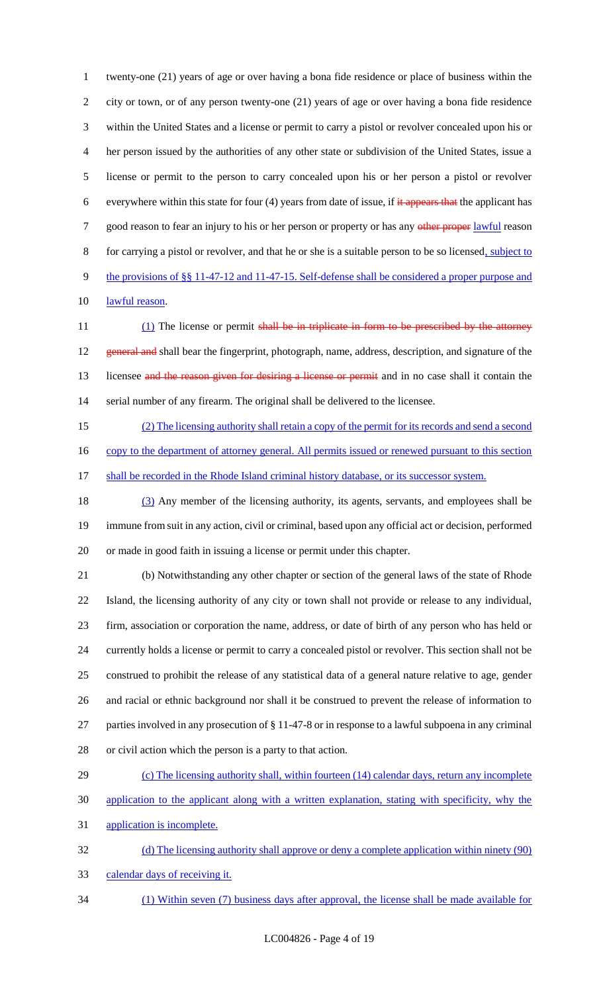twenty-one (21) years of age or over having a bona fide residence or place of business within the city or town, or of any person twenty-one (21) years of age or over having a bona fide residence within the United States and a license or permit to carry a pistol or revolver concealed upon his or her person issued by the authorities of any other state or subdivision of the United States, issue a license or permit to the person to carry concealed upon his or her person a pistol or revolver 6 everywhere within this state for four (4) years from date of issue, if  $\frac{1}{1}$  appears that the applicant has 7 good reason to fear an injury to his or her person or property or has any other proper lawful reason for carrying a pistol or revolver, and that he or she is a suitable person to be so licensed, subject to 9 the provisions of §§ 11-47-12 and 11-47-15. Self-defense shall be considered a proper purpose and 10 lawful reason.

11 (1) The license or permit shall be in triplicate in form to be prescribed by the attorney 12 general and shall bear the fingerprint, photograph, name, address, description, and signature of the 13 licensee and the reason given for desiring a license or permit and in no case shall it contain the serial number of any firearm. The original shall be delivered to the licensee.

(2) The licensing authority shall retain a copy of the permit for its records and send a second

16 copy to the department of attorney general. All permits issued or renewed pursuant to this section

17 shall be recorded in the Rhode Island criminal history database, or its successor system.

 (3) Any member of the licensing authority, its agents, servants, and employees shall be immune from suit in any action, civil or criminal, based upon any official act or decision, performed or made in good faith in issuing a license or permit under this chapter.

 (b) Notwithstanding any other chapter or section of the general laws of the state of Rhode Island, the licensing authority of any city or town shall not provide or release to any individual, firm, association or corporation the name, address, or date of birth of any person who has held or currently holds a license or permit to carry a concealed pistol or revolver. This section shall not be construed to prohibit the release of any statistical data of a general nature relative to age, gender and racial or ethnic background nor shall it be construed to prevent the release of information to parties involved in any prosecution of § 11-47-8 or in response to a lawful subpoena in any criminal or civil action which the person is a party to that action.

29 (c) The licensing authority shall, within fourteen (14) calendar days, return any incomplete application to the applicant along with a written explanation, stating with specificity, why the

application is incomplete.

 (d) The licensing authority shall approve or deny a complete application within ninety (90) calendar days of receiving it.

(1) Within seven (7) business days after approval, the license shall be made available for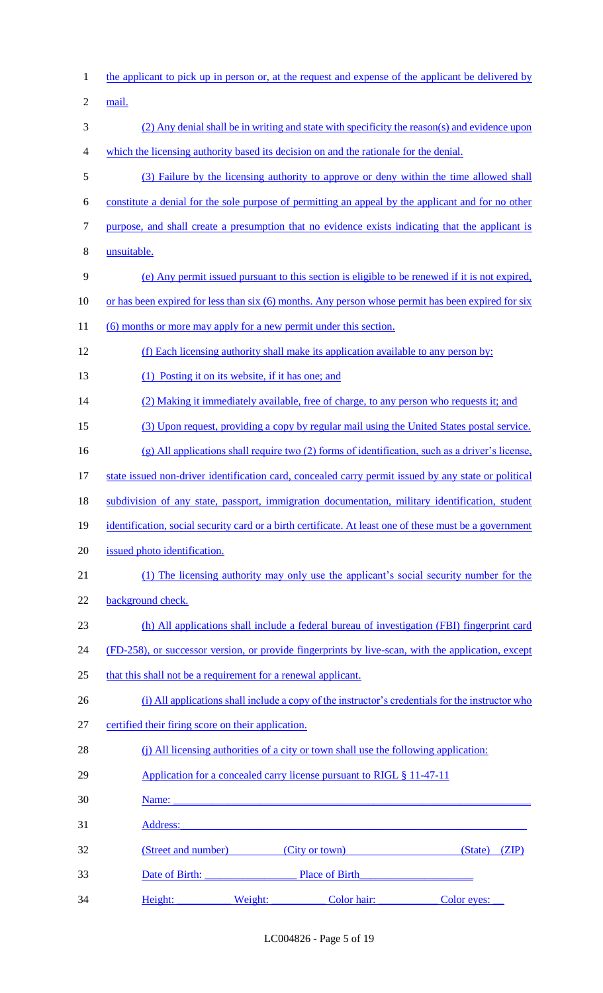| $\mathbf{1}$             | the applicant to pick up in person or, at the request and expense of the applicant be delivered by                                                                                                                             |
|--------------------------|--------------------------------------------------------------------------------------------------------------------------------------------------------------------------------------------------------------------------------|
| $\overline{2}$           | mail.                                                                                                                                                                                                                          |
| 3                        | (2) Any denial shall be in writing and state with specificity the reason(s) and evidence upon                                                                                                                                  |
| $\overline{\mathcal{A}}$ | which the licensing authority based its decision on and the rationale for the denial.                                                                                                                                          |
| 5                        | (3) Failure by the licensing authority to approve or deny within the time allowed shall                                                                                                                                        |
| 6                        | constitute a denial for the sole purpose of permitting an appeal by the applicant and for no other                                                                                                                             |
| $\boldsymbol{7}$         | purpose, and shall create a presumption that no evidence exists indicating that the applicant is                                                                                                                               |
| $8\,$                    | unsuitable.                                                                                                                                                                                                                    |
| $\mathbf{9}$             | (e) Any permit issued pursuant to this section is eligible to be renewed if it is not expired,                                                                                                                                 |
| 10                       | or has been expired for less than six (6) months. Any person whose permit has been expired for six                                                                                                                             |
| 11                       | (6) months or more may apply for a new permit under this section.                                                                                                                                                              |
| 12                       | (f) Each licensing authority shall make its application available to any person by:                                                                                                                                            |
| 13                       | (1) Posting it on its website, if it has one; and                                                                                                                                                                              |
| 14                       | (2) Making it immediately available, free of charge, to any person who requests it; and                                                                                                                                        |
| 15                       | (3) Upon request, providing a copy by regular mail using the United States postal service.                                                                                                                                     |
| 16                       | $(g)$ All applications shall require two (2) forms of identification, such as a driver's license,                                                                                                                              |
| 17                       | state issued non-driver identification card, concealed carry permit issued by any state or political                                                                                                                           |
| 18                       | subdivision of any state, passport, immigration documentation, military identification, student                                                                                                                                |
| 19                       | identification, social security card or a birth certificate. At least one of these must be a government                                                                                                                        |
| 20                       | issued photo identification.                                                                                                                                                                                                   |
| 21                       | (1) The licensing authority may only use the applicant's social security number for the                                                                                                                                        |
| 22                       | background check.                                                                                                                                                                                                              |
| 23                       | (h) All applications shall include a federal bureau of investigation (FBI) fingerprint card                                                                                                                                    |
| 24                       | (FD-258), or successor version, or provide fingerprints by live-scan, with the application, except                                                                                                                             |
| 25                       | that this shall not be a requirement for a renewal applicant.                                                                                                                                                                  |
| 26                       | (i) All applications shall include a copy of the instructor's credentials for the instructor who                                                                                                                               |
| 27                       | certified their firing score on their application.                                                                                                                                                                             |
| 28                       | (i) All licensing authorities of a city or town shall use the following application:                                                                                                                                           |
| 29                       | Application for a concealed carry license pursuant to RIGL § 11-47-11                                                                                                                                                          |
| 30                       | Name:                                                                                                                                                                                                                          |
| 31                       | Address: Andreas Address: Address: Address: Address: Address: Address: Address: Address: Address: Address: Address: Address: Address: Address: Address: Address: Address: Address: Address: Address: Address: Address: Address |
| 32                       | (Street and number) (City or town) (State)<br>(ZIP)                                                                                                                                                                            |
| 33                       | Place of Birth Place of Birth<br>Date of Birth:                                                                                                                                                                                |
| 34                       | Weight:<br>Color hair: Color eyes:<br>Height:                                                                                                                                                                                  |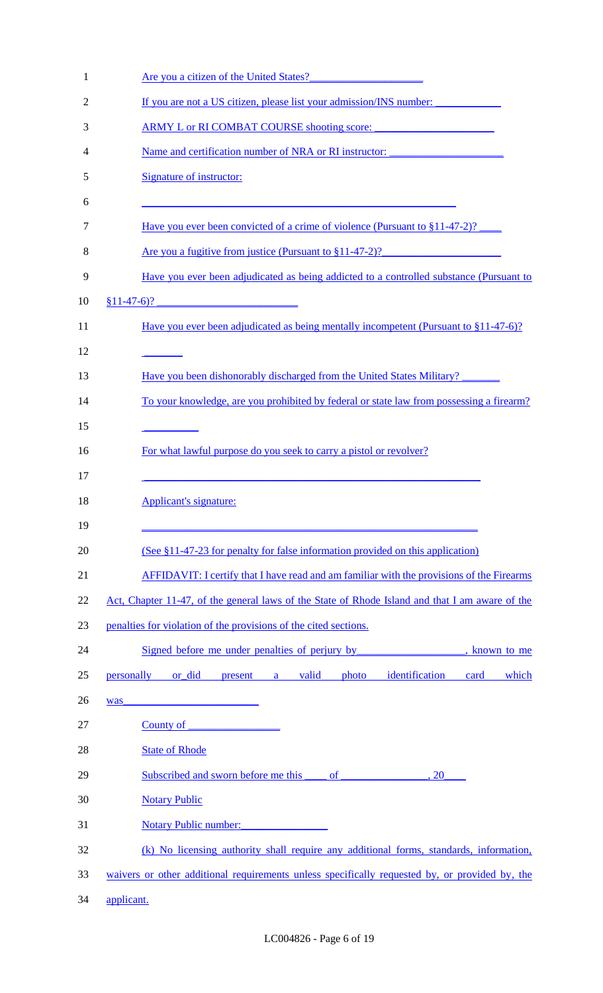| $\mathbf{1}$ | Are you a citizen of the United States?                                                         |
|--------------|-------------------------------------------------------------------------------------------------|
| 2            | If you are not a US citizen, please list your admission/INS number:                             |
| 3            | <u>ARMY L or RI COMBAT COURSE shooting score:</u>                                               |
| 4            | Name and certification number of NRA or RI instructor:                                          |
| 5            | <b>Signature of instructor:</b>                                                                 |
| 6            |                                                                                                 |
| 7            | <u>Have you ever been convicted of a crime of violence (Pursuant to §11-47-2)?</u>              |
| 8            | Are you a fugitive from justice (Pursuant to §11-47-2)?                                         |
| 9            | Have you ever been adjudicated as being addicted to a controlled substance (Pursuant to         |
| 10           | <u> 1980 - Johann Barnett, fransk politiker (</u><br>$$11-47-6$ ?                               |
| 11           | Have you ever been adjudicated as being mentally incompetent (Pursuant to §11-47-6)?            |
| 12           |                                                                                                 |
| 13           | Have you been dishonorably discharged from the United States Military?                          |
| 14           | To your knowledge, are you prohibited by federal or state law from possessing a firearm?        |
| 15           |                                                                                                 |
| 16           | For what lawful purpose do you seek to carry a pistol or revolver?                              |
| 17           |                                                                                                 |
| 18           | <b>Applicant's signature:</b>                                                                   |
| 19           |                                                                                                 |
| 20           | (See §11-47-23 for penalty for false information provided on this application)                  |
| 21           | AFFIDAVIT: I certify that I have read and am familiar with the provisions of the Firearms       |
| 22           | Act, Chapter 11-47, of the general laws of the State of Rhode Island and that I am aware of the |
| 23           | penalties for violation of the provisions of the cited sections.                                |
| 24           | Signed before me under penalties of perjury by<br>, known to me                                 |
| 25           | personally<br>or did<br>present a valid<br>identification<br>which<br>photo<br>card             |
| 26           | <u> 1988 - Johann Marie Barn, mars an t-A</u><br>was                                            |
| 27           | County of                                                                                       |
| 28           | <b>State of Rhode</b>                                                                           |
| 29           | 20                                                                                              |
| 30           | <b>Notary Public</b>                                                                            |
| 31           | <b>Notary Public number:</b>                                                                    |
| 32           | (k) No licensing authority shall require any additional forms, standards, information,          |
| 33           | waivers or other additional requirements unless specifically requested by, or provided by, the  |
| 34           | applicant.                                                                                      |
|              |                                                                                                 |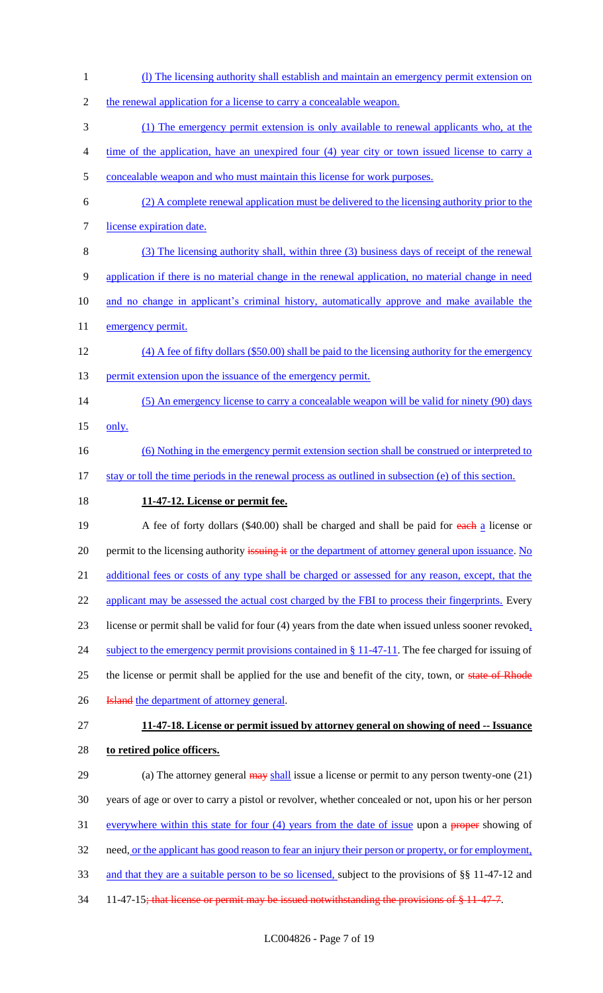1 (l) The licensing authority shall establish and maintain an emergency permit extension on 2 the renewal application for a license to carry a concealable weapon. 3 (1) The emergency permit extension is only available to renewal applicants who, at the 4 time of the application, have an unexpired four (4) year city or town issued license to carry a 5 concealable weapon and who must maintain this license for work purposes. 6 (2) A complete renewal application must be delivered to the licensing authority prior to the 7 license expiration date. 8 (3) The licensing authority shall, within three (3) business days of receipt of the renewal 9 application if there is no material change in the renewal application, no material change in need 10 and no change in applicant's criminal history, automatically approve and make available the 11 emergency permit. 12 (4) A fee of fifty dollars (\$50.00) shall be paid to the licensing authority for the emergency 13 permit extension upon the issuance of the emergency permit. 14 (5) An emergency license to carry a concealable weapon will be valid for ninety (90) days 15 only. 16 (6) Nothing in the emergency permit extension section shall be construed or interpreted to 17 stay or toll the time periods in the renewal process as outlined in subsection (e) of this section. 18 **11-47-12. License or permit fee.** 19 A fee of forty dollars (\$40.00) shall be charged and shall be paid for each a license or 20 permit to the licensing authority issuing it or the department of attorney general upon issuance. No 21 additional fees or costs of any type shall be charged or assessed for any reason, except, that the 22 applicant may be assessed the actual cost charged by the FBI to process their fingerprints. Every 23 license or permit shall be valid for four (4) years from the date when issued unless sooner revoked, 24 subject to the emergency permit provisions contained in § 11-47-11. The fee charged for issuing of 25 the license or permit shall be applied for the use and benefit of the city, town, or state of Rhode 26 **Island** the department of attorney general. 27 **11-47-18. License or permit issued by attorney general on showing of need -- Issuance**  28 **to retired police officers.** 29 (a) The attorney general may shall issue a license or permit to any person twenty-one (21) 30 years of age or over to carry a pistol or revolver, whether concealed or not, upon his or her person 31 everywhere within this state for four (4) years from the date of issue upon a proper showing of 32 need, <u>or the applicant has good reason to fear an injury their person or property, or for employment,</u> 33 and that they are a suitable person to be so licensed, subject to the provisions of §§ 11-47-12 and 34 11-47-15; that license or permit may be issued not with standing the provisions of § 11-47-7.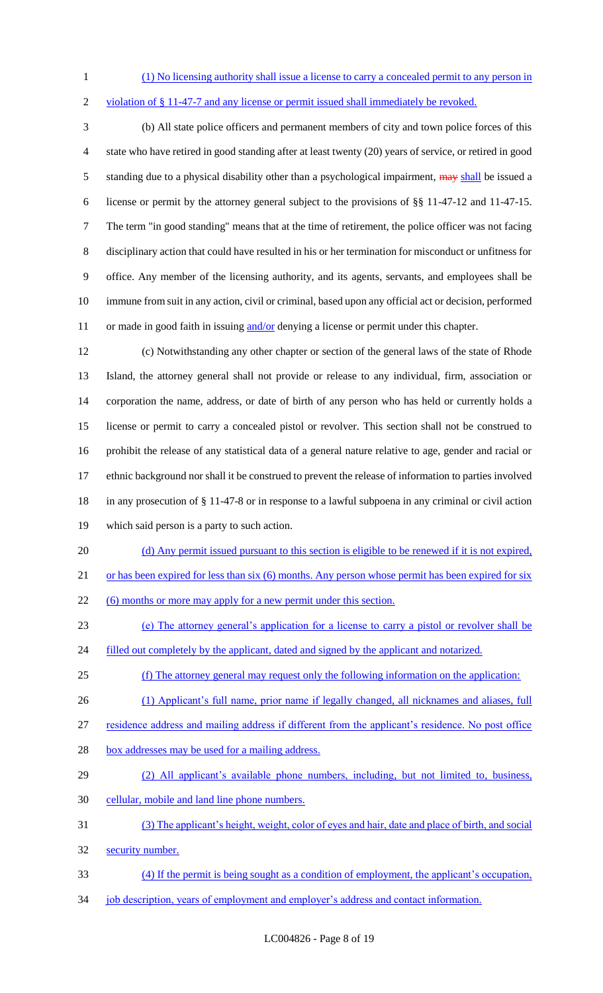- (1) No licensing authority shall issue a license to carry a concealed permit to any person in
- 

violation of § 11-47-7 and any license or permit issued shall immediately be revoked.

 (b) All state police officers and permanent members of city and town police forces of this state who have retired in good standing after at least twenty (20) years of service, or retired in good 5 standing due to a physical disability other than a psychological impairment, may shall be issued a license or permit by the attorney general subject to the provisions of §§ 11-47-12 and 11-47-15. The term "in good standing" means that at the time of retirement, the police officer was not facing disciplinary action that could have resulted in his or her termination for misconduct or unfitness for office. Any member of the licensing authority, and its agents, servants, and employees shall be immune from suit in any action, civil or criminal, based upon any official act or decision, performed 11 or made in good faith in issuing and/or denying a license or permit under this chapter.

 (c) Notwithstanding any other chapter or section of the general laws of the state of Rhode Island, the attorney general shall not provide or release to any individual, firm, association or corporation the name, address, or date of birth of any person who has held or currently holds a license or permit to carry a concealed pistol or revolver. This section shall not be construed to prohibit the release of any statistical data of a general nature relative to age, gender and racial or ethnic background nor shall it be construed to prevent the release of information to parties involved in any prosecution of § 11-47-8 or in response to a lawful subpoena in any criminal or civil action which said person is a party to such action.

- (d) Any permit issued pursuant to this section is eligible to be renewed if it is not expired,
- 21 or has been expired for less than six (6) months. Any person whose permit has been expired for six

22 (6) months or more may apply for a new permit under this section.

- (e) The attorney general's application for a license to carry a pistol or revolver shall be
- 24 filled out completely by the applicant, dated and signed by the applicant and notarized.
- (f) The attorney general may request only the following information on the application:
- (1) Applicant's full name, prior name if legally changed, all nicknames and aliases, full
- residence address and mailing address if different from the applicant's residence. No post office
- 28 box addresses may be used for a mailing address.
- (2) All applicant's available phone numbers, including, but not limited to, business, cellular, mobile and land line phone numbers.
- (3) The applicant's height, weight, color of eyes and hair, date and place of birth, and social
- security number.
- (4) If the permit is being sought as a condition of employment, the applicant's occupation,
- 34 job description, years of employment and employer's address and contact information.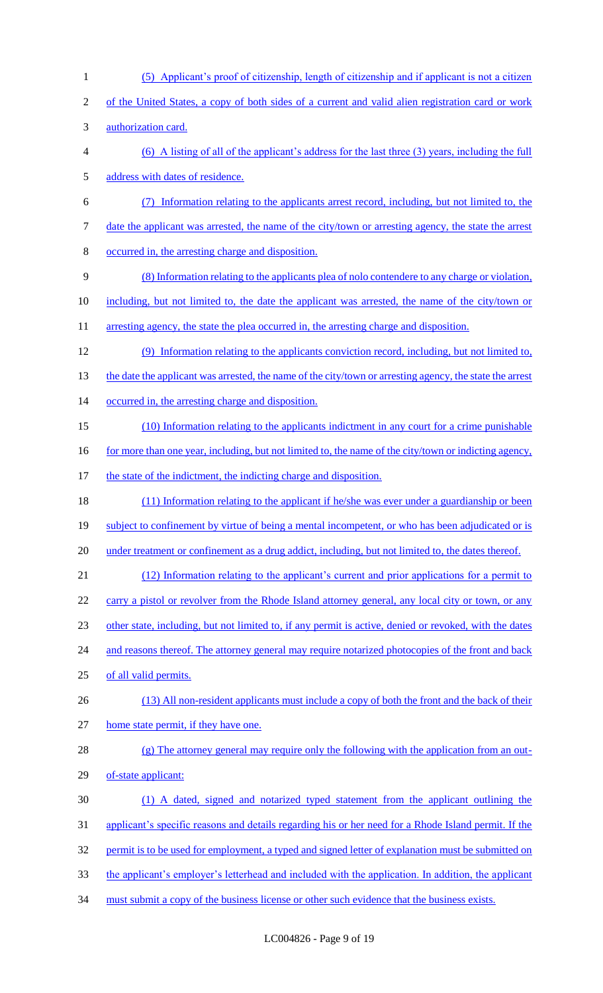(5) Applicant's proof of citizenship, length of citizenship and if applicant is not a citizen of the United States, a copy of both sides of a current and valid alien registration card or work authorization card. (6) A listing of all of the applicant's address for the last three (3) years, including the full address with dates of residence. (7) Information relating to the applicants arrest record, including, but not limited to, the date the applicant was arrested, the name of the city/town or arresting agency, the state the arrest occurred in, the arresting charge and disposition. (8) Information relating to the applicants plea of nolo contendere to any charge or violation, 10 including, but not limited to, the date the applicant was arrested, the name of the city/town or 11 arresting agency, the state the plea occurred in, the arresting charge and disposition. (9) Information relating to the applicants conviction record, including, but not limited to, 13 the date the applicant was arrested, the name of the city/town or arresting agency, the state the arrest 14 occurred in, the arresting charge and disposition. (10) Information relating to the applicants indictment in any court for a crime punishable 16 for more than one year, including, but not limited to, the name of the city/town or indicting agency, 17 the state of the indictment, the indicting charge and disposition. 18 (11) Information relating to the applicant if he/she was ever under a guardianship or been 19 subject to confinement by virtue of being a mental incompetent, or who has been adjudicated or is 20 under treatment or confinement as a drug addict, including, but not limited to, the dates thereof. (12) Information relating to the applicant's current and prior applications for a permit to 22 carry a pistol or revolver from the Rhode Island attorney general, any local city or town, or any other state, including, but not limited to, if any permit is active, denied or revoked, with the dates 24 and reasons thereof. The attorney general may require notarized photocopies of the front and back of all valid permits. (13) All non-resident applicants must include a copy of both the front and the back of their home state permit, if they have one. (g) The attorney general may require only the following with the application from an out- of-state applicant: (1) A dated, signed and notarized typed statement from the applicant outlining the applicant's specific reasons and details regarding his or her need for a Rhode Island permit. If the 32 permit is to be used for employment, a typed and signed letter of explanation must be submitted on the applicant's employer's letterhead and included with the application. In addition, the applicant 34 must submit a copy of the business license or other such evidence that the business exists.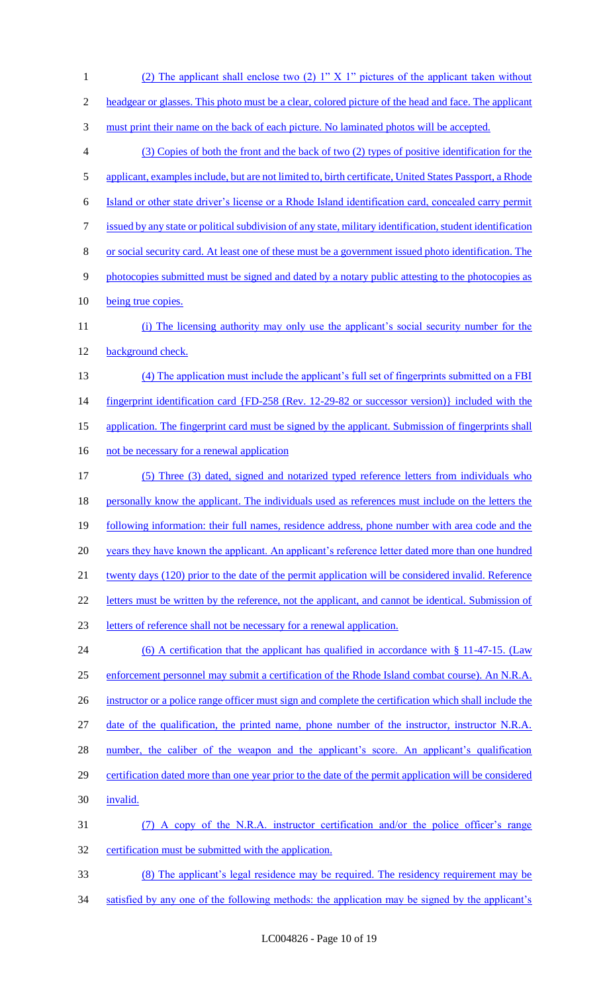1 (2) The applicant shall enclose two (2) 1" X 1" pictures of the applicant taken without 2 headgear or glasses. This photo must be a clear, colored picture of the head and face. The applicant 3 must print their name on the back of each picture. No laminated photos will be accepted. 4 (3) Copies of both the front and the back of two (2) types of positive identification for the 5 applicant, examples include, but are not limited to, birth certificate, United States Passport, a Rhode 6 Island or other state driver's license or a Rhode Island identification card, concealed carry permit 7 issued by any state or political subdivision of any state, military identification, student identification 8 or social security card. At least one of these must be a government issued photo identification. The 9 photocopies submitted must be signed and dated by a notary public attesting to the photocopies as 10 being true copies. 11 (i) The licensing authority may only use the applicant's social security number for the 12 background check. 13 (4) The application must include the applicant's full set of fingerprints submitted on a FBI 14 fingerprint identification card {FD-258 (Rev. 12-29-82 or successor version)} included with the 15 application. The fingerprint card must be signed by the applicant. Submission of fingerprints shall 16 not be necessary for a renewal application 17 (5) Three (3) dated, signed and notarized typed reference letters from individuals who 18 personally know the applicant. The individuals used as references must include on the letters the 19 following information: their full names, residence address, phone number with area code and the 20 years they have known the applicant. An applicant's reference letter dated more than one hundred 21 twenty days (120) prior to the date of the permit application will be considered invalid. Reference 22 letters must be written by the reference, not the applicant, and cannot be identical. Submission of 23 letters of reference shall not be necessary for a renewal application. 24 (6) A certification that the applicant has qualified in accordance with § 11-47-15. (Law 25 enforcement personnel may submit a certification of the Rhode Island combat course). An N.R.A. 26 instructor or a police range officer must sign and complete the certification which shall include the 27 date of the qualification, the printed name, phone number of the instructor, instructor N.R.A. 28 number, the caliber of the weapon and the applicant's score. An applicant's qualification 29 certification dated more than one year prior to the date of the permit application will be considered 30 invalid. 31 (7) A copy of the N.R.A. instructor certification and/or the police officer's range 32 certification must be submitted with the application. 33 (8) The applicant's legal residence may be required. The residency requirement may be 34 satisfied by any one of the following methods: the application may be signed by the applicant's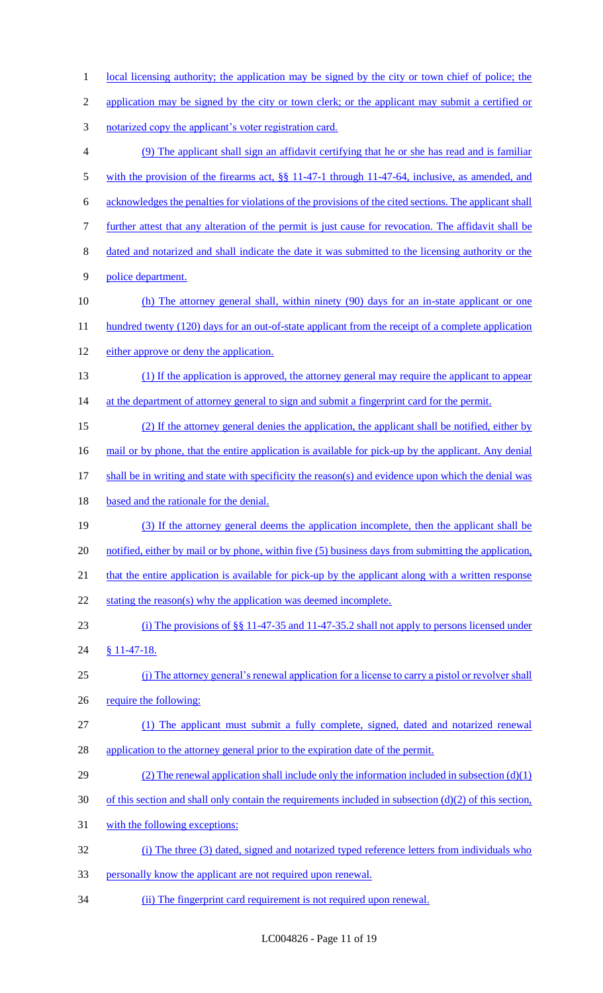- 1 local licensing authority; the application may be signed by the city or town chief of police; the 2 application may be signed by the city or town clerk; or the applicant may submit a certified or 3 notarized copy the applicant's voter registration card. 4 (9) The applicant shall sign an affidavit certifying that he or she has read and is familiar 5 with the provision of the firearms act, §§ 11-47-1 through 11-47-64, inclusive, as amended, and 6 acknowledges the penalties for violations of the provisions of the cited sections. The applicant shall 7 further attest that any alteration of the permit is just cause for revocation. The affidavit shall be 8 dated and notarized and shall indicate the date it was submitted to the licensing authority or the 9 police department. 10 (h) The attorney general shall, within ninety (90) days for an in-state applicant or one 11 hundred twenty (120) days for an out-of-state applicant from the receipt of a complete application 12 either approve or deny the application. 13 (1) If the application is approved, the attorney general may require the applicant to appear 14 at the department of attorney general to sign and submit a fingerprint card for the permit. 15 (2) If the attorney general denies the application, the applicant shall be notified, either by 16 mail or by phone, that the entire application is available for pick-up by the applicant. Any denial 17 shall be in writing and state with specificity the reason(s) and evidence upon which the denial was 18 based and the rationale for the denial. 19 (3) If the attorney general deems the application incomplete, then the applicant shall be 20 notified, either by mail or by phone, within five (5) business days from submitting the application, 21 that the entire application is available for pick-up by the applicant along with a written response 22 stating the reason(s) why the application was deemed incomplete. 23 (i) The provisions of §§ 11-47-35 and 11-47-35.2 shall not apply to persons licensed under 24 § 11-47-18. 25 (j) The attorney general's renewal application for a license to carry a pistol or revolver shall 26 require the following: 27 (1) The applicant must submit a fully complete, signed, dated and notarized renewal 28 application to the attorney general prior to the expiration date of the permit. 29 (2) The renewal application shall include only the information included in subsection (d)(1)  $30$  of this section and shall only contain the requirements included in subsection (d)(2) of this section, 31 with the following exceptions: 32 (i) The three (3) dated, signed and notarized typed reference letters from individuals who 33 personally know the applicant are not required upon renewal.
- 34 (ii) The fingerprint card requirement is not required upon renewal.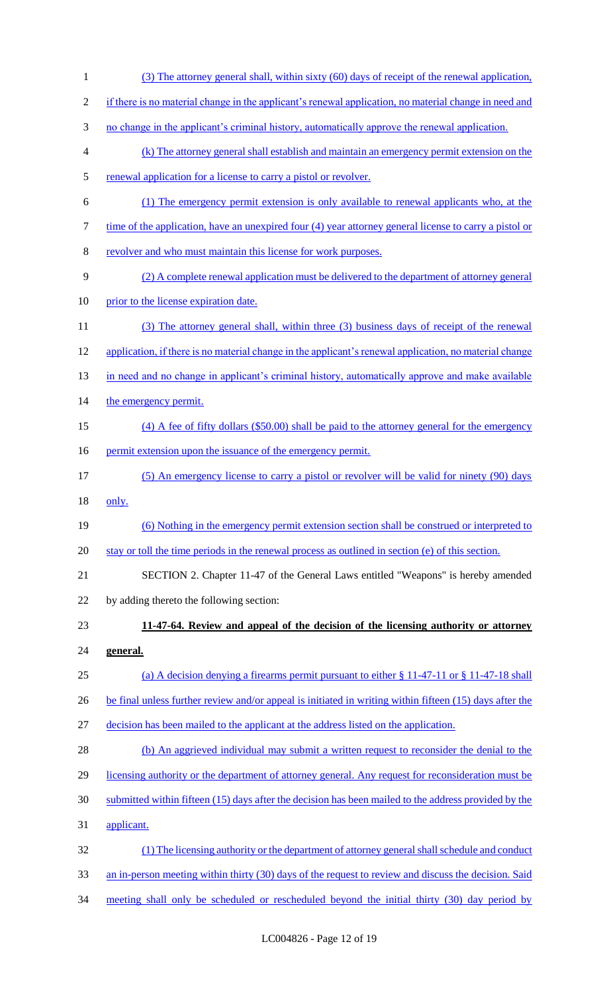(3) The attorney general shall, within sixty (60) days of receipt of the renewal application, if there is no material change in the applicant's renewal application, no material change in need and no change in the applicant's criminal history, automatically approve the renewal application. (k) The attorney general shall establish and maintain an emergency permit extension on the 5 renewal application for a license to carry a pistol or revolver. (1) The emergency permit extension is only available to renewal applicants who, at the 7 time of the application, have an unexpired four (4) year attorney general license to carry a pistol or revolver and who must maintain this license for work purposes. (2) A complete renewal application must be delivered to the department of attorney general 10 prior to the license expiration date. (3) The attorney general shall, within three (3) business days of receipt of the renewal 12 application, if there is no material change in the applicant's renewal application, no material change 13 in need and no change in applicant's criminal history, automatically approve and make available 14 the emergency permit. (4) A fee of fifty dollars (\$50.00) shall be paid to the attorney general for the emergency 16 permit extension upon the issuance of the emergency permit. (5) An emergency license to carry a pistol or revolver will be valid for ninety (90) days only. (6) Nothing in the emergency permit extension section shall be construed or interpreted to stay or toll the time periods in the renewal process as outlined in section (e) of this section. SECTION 2. Chapter 11-47 of the General Laws entitled "Weapons" is hereby amended by adding thereto the following section: **11-47-64. Review and appeal of the decision of the licensing authority or attorney general.**  (a) A decision denying a firearms permit pursuant to either § 11-47-11 or § 11-47-18 shall 26 be final unless further review and/or appeal is initiated in writing within fifteen (15) days after the decision has been mailed to the applicant at the address listed on the application. 28 (b) An aggrieved individual may submit a written request to reconsider the denial to the 29 licensing authority or the department of attorney general. Any request for reconsideration must be submitted within fifteen (15) days after the decision has been mailed to the address provided by the applicant. (1) The licensing authority or the department of attorney general shall schedule and conduct 33 an in-person meeting within thirty (30) days of the request to review and discuss the decision. Said 34 meeting shall only be scheduled or rescheduled beyond the initial thirty (30) day period by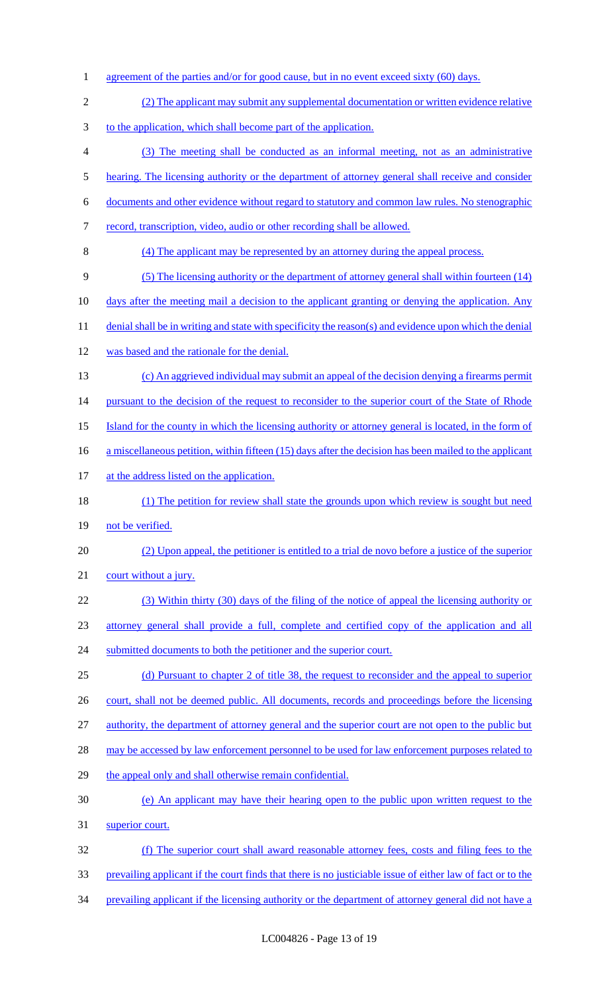1 agreement of the parties and/or for good cause, but in no event exceed sixty (60) days. (2) The applicant may submit any supplemental documentation or written evidence relative to the application, which shall become part of the application. (3) The meeting shall be conducted as an informal meeting, not as an administrative 5 hearing. The licensing authority or the department of attorney general shall receive and consider documents and other evidence without regard to statutory and common law rules. No stenographic record, transcription, video, audio or other recording shall be allowed. (4) The applicant may be represented by an attorney during the appeal process. (5) The licensing authority or the department of attorney general shall within fourteen (14) 10 days after the meeting mail a decision to the applicant granting or denying the application. Any 11 denial shall be in writing and state with specificity the reason(s) and evidence upon which the denial was based and the rationale for the denial. (c) An aggrieved individual may submit an appeal of the decision denying a firearms permit 14 pursuant to the decision of the request to reconsider to the superior court of the State of Rhode Island for the county in which the licensing authority or attorney general is located, in the form of 16 a miscellaneous petition, within fifteen (15) days after the decision has been mailed to the applicant 17 at the address listed on the application. (1) The petition for review shall state the grounds upon which review is sought but need 19 not be verified. (2) Upon appeal, the petitioner is entitled to a trial de novo before a justice of the superior 21 court without a jury. (3) Within thirty (30) days of the filing of the notice of appeal the licensing authority or attorney general shall provide a full, complete and certified copy of the application and all 24 submitted documents to both the petitioner and the superior court. (d) Pursuant to chapter 2 of title 38, the request to reconsider and the appeal to superior 26 court, shall not be deemed public. All documents, records and proceedings before the licensing authority, the department of attorney general and the superior court are not open to the public but 28 may be accessed by law enforcement personnel to be used for law enforcement purposes related to 29 the appeal only and shall otherwise remain confidential. (e) An applicant may have their hearing open to the public upon written request to the superior court. (f) The superior court shall award reasonable attorney fees, costs and filing fees to the prevailing applicant if the court finds that there is no justiciable issue of either law of fact or to the prevailing applicant if the licensing authority or the department of attorney general did not have a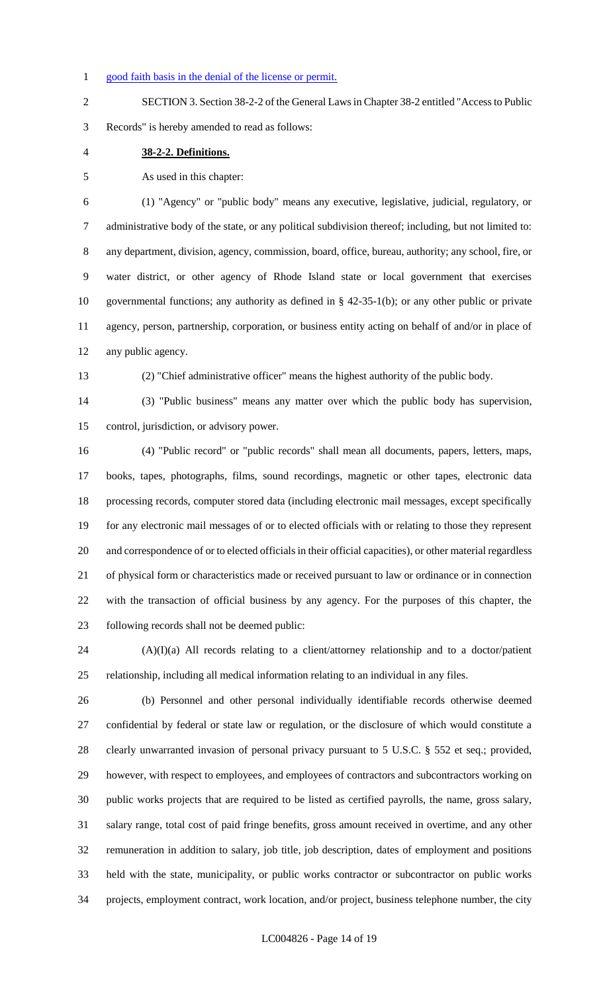#### 1 good faith basis in the denial of the license or permit.

 SECTION 3. Section 38-2-2 of the General Laws in Chapter 38-2 entitled "Access to Public Records" is hereby amended to read as follows:

**38-2-2. Definitions.**

As used in this chapter:

 (1) "Agency" or "public body" means any executive, legislative, judicial, regulatory, or administrative body of the state, or any political subdivision thereof; including, but not limited to: any department, division, agency, commission, board, office, bureau, authority; any school, fire, or water district, or other agency of Rhode Island state or local government that exercises governmental functions; any authority as defined in § 42-35-1(b); or any other public or private agency, person, partnership, corporation, or business entity acting on behalf of and/or in place of any public agency.

(2) "Chief administrative officer" means the highest authority of the public body.

 (3) "Public business" means any matter over which the public body has supervision, control, jurisdiction, or advisory power.

 (4) "Public record" or "public records" shall mean all documents, papers, letters, maps, books, tapes, photographs, films, sound recordings, magnetic or other tapes, electronic data processing records, computer stored data (including electronic mail messages, except specifically for any electronic mail messages of or to elected officials with or relating to those they represent and correspondence of or to elected officials in their official capacities), or other material regardless of physical form or characteristics made or received pursuant to law or ordinance or in connection with the transaction of official business by any agency. For the purposes of this chapter, the following records shall not be deemed public:

 (A)(I)(a) All records relating to a client/attorney relationship and to a doctor/patient relationship, including all medical information relating to an individual in any files.

 (b) Personnel and other personal individually identifiable records otherwise deemed confidential by federal or state law or regulation, or the disclosure of which would constitute a clearly unwarranted invasion of personal privacy pursuant to 5 U.S.C. § 552 et seq.; provided, however, with respect to employees, and employees of contractors and subcontractors working on public works projects that are required to be listed as certified payrolls, the name, gross salary, salary range, total cost of paid fringe benefits, gross amount received in overtime, and any other remuneration in addition to salary, job title, job description, dates of employment and positions held with the state, municipality, or public works contractor or subcontractor on public works projects, employment contract, work location, and/or project, business telephone number, the city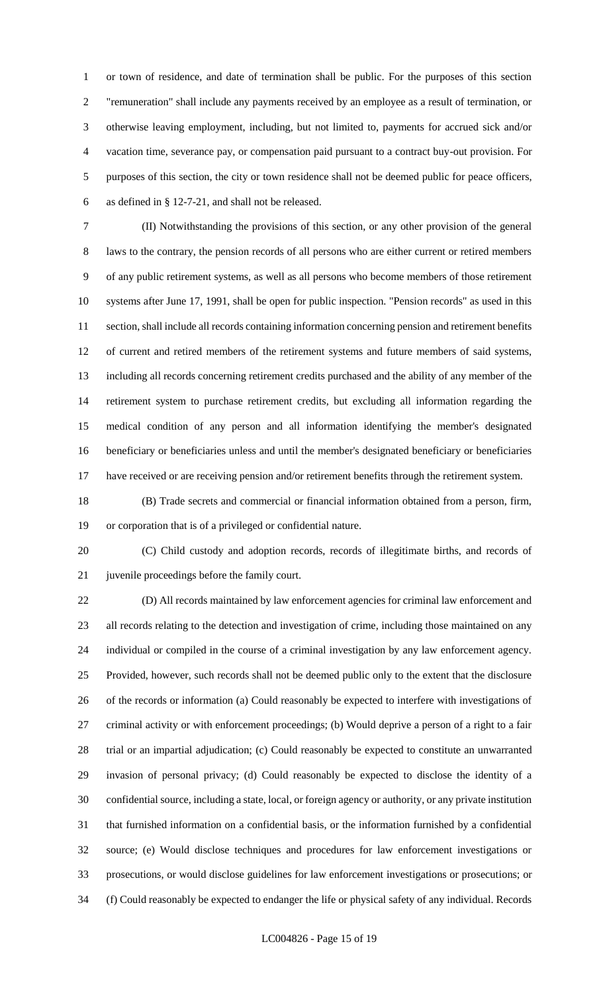or town of residence, and date of termination shall be public. For the purposes of this section "remuneration" shall include any payments received by an employee as a result of termination, or otherwise leaving employment, including, but not limited to, payments for accrued sick and/or vacation time, severance pay, or compensation paid pursuant to a contract buy-out provision. For purposes of this section, the city or town residence shall not be deemed public for peace officers, as defined in § 12-7-21, and shall not be released.

 (II) Notwithstanding the provisions of this section, or any other provision of the general laws to the contrary, the pension records of all persons who are either current or retired members of any public retirement systems, as well as all persons who become members of those retirement systems after June 17, 1991, shall be open for public inspection. "Pension records" as used in this section, shall include all records containing information concerning pension and retirement benefits of current and retired members of the retirement systems and future members of said systems, including all records concerning retirement credits purchased and the ability of any member of the retirement system to purchase retirement credits, but excluding all information regarding the medical condition of any person and all information identifying the member's designated beneficiary or beneficiaries unless and until the member's designated beneficiary or beneficiaries have received or are receiving pension and/or retirement benefits through the retirement system.

 (B) Trade secrets and commercial or financial information obtained from a person, firm, or corporation that is of a privileged or confidential nature.

 (C) Child custody and adoption records, records of illegitimate births, and records of juvenile proceedings before the family court.

 (D) All records maintained by law enforcement agencies for criminal law enforcement and all records relating to the detection and investigation of crime, including those maintained on any individual or compiled in the course of a criminal investigation by any law enforcement agency. Provided, however, such records shall not be deemed public only to the extent that the disclosure of the records or information (a) Could reasonably be expected to interfere with investigations of criminal activity or with enforcement proceedings; (b) Would deprive a person of a right to a fair trial or an impartial adjudication; (c) Could reasonably be expected to constitute an unwarranted invasion of personal privacy; (d) Could reasonably be expected to disclose the identity of a confidential source, including a state, local, or foreign agency or authority, or any private institution that furnished information on a confidential basis, or the information furnished by a confidential source; (e) Would disclose techniques and procedures for law enforcement investigations or prosecutions, or would disclose guidelines for law enforcement investigations or prosecutions; or (f) Could reasonably be expected to endanger the life or physical safety of any individual. Records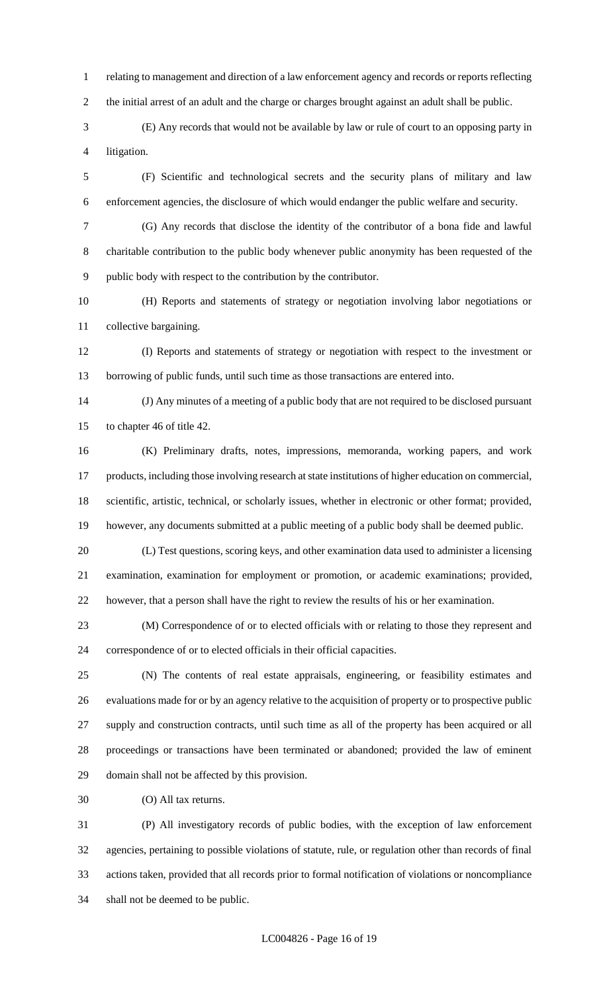relating to management and direction of a law enforcement agency and records or reports reflecting the initial arrest of an adult and the charge or charges brought against an adult shall be public.

 (E) Any records that would not be available by law or rule of court to an opposing party in litigation.

 (F) Scientific and technological secrets and the security plans of military and law enforcement agencies, the disclosure of which would endanger the public welfare and security.

 (G) Any records that disclose the identity of the contributor of a bona fide and lawful charitable contribution to the public body whenever public anonymity has been requested of the public body with respect to the contribution by the contributor.

 (H) Reports and statements of strategy or negotiation involving labor negotiations or collective bargaining.

 (I) Reports and statements of strategy or negotiation with respect to the investment or borrowing of public funds, until such time as those transactions are entered into.

 (J) Any minutes of a meeting of a public body that are not required to be disclosed pursuant to chapter 46 of title 42.

 (K) Preliminary drafts, notes, impressions, memoranda, working papers, and work products, including those involving research at state institutions of higher education on commercial, scientific, artistic, technical, or scholarly issues, whether in electronic or other format; provided, however, any documents submitted at a public meeting of a public body shall be deemed public.

 (L) Test questions, scoring keys, and other examination data used to administer a licensing examination, examination for employment or promotion, or academic examinations; provided, however, that a person shall have the right to review the results of his or her examination.

 (M) Correspondence of or to elected officials with or relating to those they represent and correspondence of or to elected officials in their official capacities.

 (N) The contents of real estate appraisals, engineering, or feasibility estimates and evaluations made for or by an agency relative to the acquisition of property or to prospective public supply and construction contracts, until such time as all of the property has been acquired or all proceedings or transactions have been terminated or abandoned; provided the law of eminent domain shall not be affected by this provision.

(O) All tax returns.

 (P) All investigatory records of public bodies, with the exception of law enforcement agencies, pertaining to possible violations of statute, rule, or regulation other than records of final actions taken, provided that all records prior to formal notification of violations or noncompliance shall not be deemed to be public.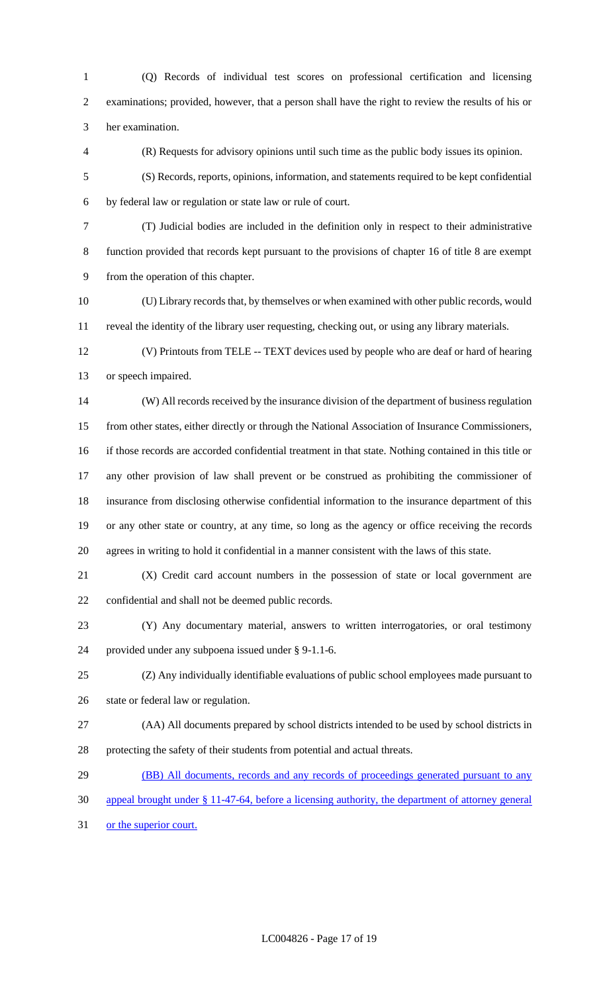(Q) Records of individual test scores on professional certification and licensing examinations; provided, however, that a person shall have the right to review the results of his or her examination.

(R) Requests for advisory opinions until such time as the public body issues its opinion.

 (S) Records, reports, opinions, information, and statements required to be kept confidential by federal law or regulation or state law or rule of court.

 (T) Judicial bodies are included in the definition only in respect to their administrative function provided that records kept pursuant to the provisions of chapter 16 of title 8 are exempt from the operation of this chapter.

 (U) Library records that, by themselves or when examined with other public records, would reveal the identity of the library user requesting, checking out, or using any library materials.

 (V) Printouts from TELE -- TEXT devices used by people who are deaf or hard of hearing or speech impaired.

 (W) All records received by the insurance division of the department of business regulation from other states, either directly or through the National Association of Insurance Commissioners, if those records are accorded confidential treatment in that state. Nothing contained in this title or any other provision of law shall prevent or be construed as prohibiting the commissioner of insurance from disclosing otherwise confidential information to the insurance department of this or any other state or country, at any time, so long as the agency or office receiving the records agrees in writing to hold it confidential in a manner consistent with the laws of this state.

 (X) Credit card account numbers in the possession of state or local government are confidential and shall not be deemed public records.

 (Y) Any documentary material, answers to written interrogatories, or oral testimony provided under any subpoena issued under § 9-1.1-6.

 (Z) Any individually identifiable evaluations of public school employees made pursuant to state or federal law or regulation.

 (AA) All documents prepared by school districts intended to be used by school districts in protecting the safety of their students from potential and actual threats.

29 (BB) All documents, records and any records of proceedings generated pursuant to any

appeal brought under § 11-47-64, before a licensing authority, the department of attorney general

or the superior court.

LC004826 - Page 17 of 19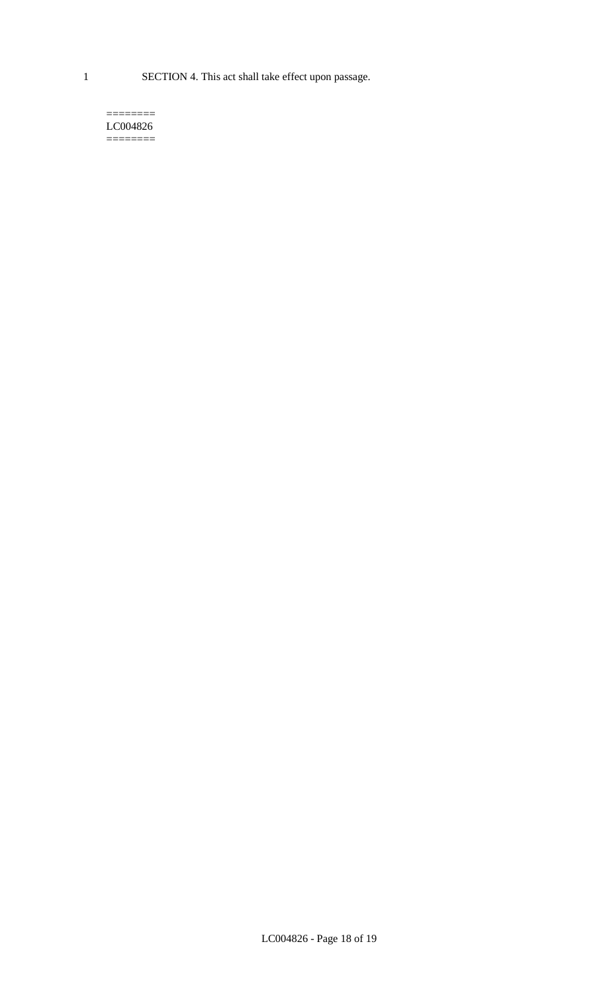1 SECTION 4. This act shall take effect upon passage.

#### $=$ LC004826  $=$